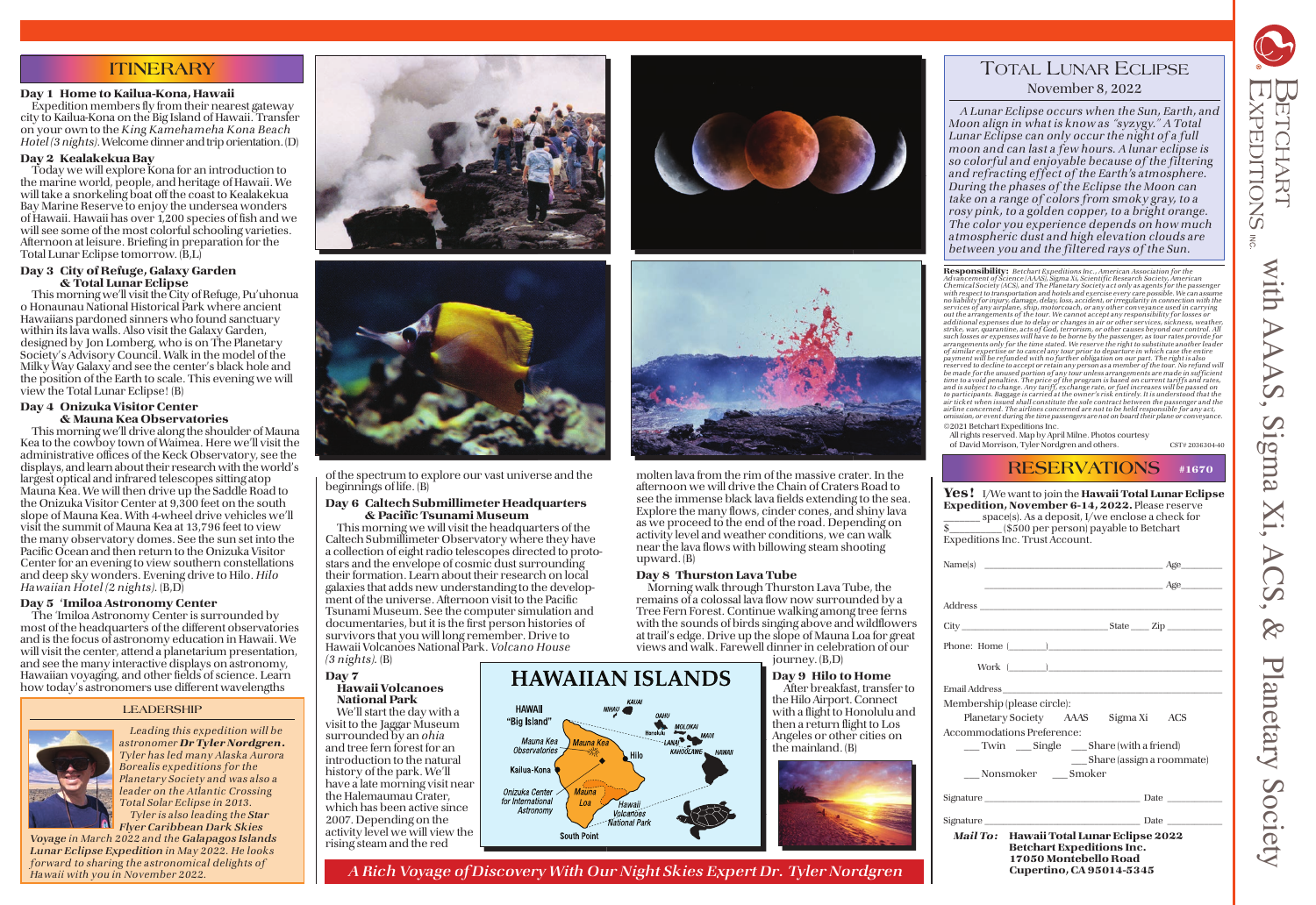# **ITINERARY**

### Day 1 Home to Kailua-Kona, Hawaii

 Expedition members fly from their nearest gateway city to Kailua-Kona on the Big Island of Hawaii. Transfer on your own to the King Kamehameha Kona Beach Hotel (3 nights). Welcome dinner and trip orientation. (D)

### Day 2 Kealakekua Bay

 Today we will explore Kona for an introduction to the marine world, people, and heritage of Hawaii. We will take a snorkeling boat off the coast to Kealakekua Bay Marine Reserve to enjoy the undersea wonders of Hawaii. Hawaii has over 1,200 species of fish and we will see some of the most colorful schooling varieties. Afternoon at leisure. Briefing in preparation for the Total Lunar Eclipse tomorrow. (B,L)

### Day 3 City of Refuge, Galaxy Garden & Total Lunar Eclipse

 This morning we'll visit the City of Refuge, Pu'uhonua o Honaunau National Historical Park where ancient Hawaiians pardoned sinners who found sanctuary within its lava walls. Also visit the Galaxy Garden, designed by Jon Lomberg, who is on The Planetary Society's Advisory Council. Walk in the model of the Milky Way Galaxy and see the center's black hole and the position of the Earth to scale. This evening we will view the Total Lunar Eclipse! (B)

### Day 4 Onizuka Visitor Center & Mauna Kea Observatories

 This morning we'll drive along the shoulder of Mauna Kea to the cowboy town of Waimea. Here we'll visit the administrative offices of the Keck Observatory, see the displays, and learn about their research with the world's largest optical and infrared telescopes sitting atop Mauna Kea. We will then drive up the Saddle Road to the Onizuka Visitor Center at 9,300 feet on the south slope of Mauna Kea. With 4-wheel drive vehicles we'll visit the summit of Mauna Kea at 13,796 feet to view the many observatory domes. See the sun set into the Pacific Ocean and then return to the Onizuka Visitor Center for an evening to view southern constellations and deep sky wonders. Evening drive to Hilo. Hilo Hawaiian Hotel (2 nights). (B,D)

### Day 5 'Imiloa Astronomy Center

 The 'Imiloa Astronomy Center is surrounded by most of the headquarters of the different observatories and is the focus of astronomy education in Hawaii. We will visit the center, attend a planetarium presentation, and see the many interactive displays on astronomy, Hawaiian voyaging, and other fields of science. Learn how today's astronomers use different wavelengths

| $Name(s)$ $\qquad \qquad \qquad \qquad \text{Age}$                                                    |                               |
|-------------------------------------------------------------------------------------------------------|-------------------------------|
|                                                                                                       | $\overbrace{\text{Age}}$      |
|                                                                                                       |                               |
|                                                                                                       |                               |
|                                                                                                       |                               |
|                                                                                                       |                               |
|                                                                                                       |                               |
| Membership (please circle):                                                                           |                               |
| Planetary Society AAAS Sigma Xi ACS                                                                   |                               |
| Accommodations Preference:                                                                            |                               |
| ___Twin ____Single ____Share (with a friend)                                                          |                               |
|                                                                                                       | ___ Share (assign a roommate) |
| Nonsmoker Smoker                                                                                      |                               |
|                                                                                                       |                               |
|                                                                                                       |                               |
| Mail To: Hawaii Total Lunar Eclipse 2022<br><b>Betchart Expeditions Inc.</b><br>17050 Montebello Road |                               |

of the spectrum to explore our vast universe and the beginnings of life. (B)

### Day 6 Caltech Submillimeter Headquarters & Pacific Tsunami Museum

 This morning we will visit the headquarters of the Caltech Submillimeter Observatory where they have a collection of eight radio telescopes directed to protostars and the envelope of cosmic dust surrounding their formation. Learn about their research on local galaxies that adds new understanding to the development of the universe. Afternoon visit to the Pacific Tsunami Museum. See the computer simulation and documen taries, but it is the first person histories of survivors that you will long remember. Drive to Hawaii Volcanoes National Park. Volcano House

### $(3 \text{ nights}).$  (B) Day  $7$

### Hawaii Volcanoes National Park

 We'll start the day with a visit to the Jaggar Museum surrounded by an *ohia* and tree fern forest for an introduction to the natural history of the park. We'll have a late morning visit near the Halemaumau Crater, which has been active since 2007. Depending on the activity level we will view the rising steam and the red





# **RESERVATIONS** #1670

| t to join the <b>Hawaii Total Lunar Eclipse</b><br>/ <b>ember 6-14, 2022.</b> Please reserve |  |
|----------------------------------------------------------------------------------------------|--|
| \s a deposit, I/we enclose a check for<br>) per person) payable to Betchart<br>rust Account. |  |

ETCHART **KPEDITIONS**  $\overline{z}$ with with AAAS, Sigma Xi, ACS, & Planetary Society AA amgli 2 Planetary Society

**Responsibility:** Betchart Expeditions Inc., American Association for the<br>Advancement of Science (AAAS), Sigma Xi, Scientific Research Society, American Chemical Society (ACS), and The Planetary Society act only as agents for the passenger with respect to trans portation and hotels and exercise every care possible. We can assume no liability for injury, damage, delay, loss, accident, or irregularity in connection with the<br>services of any airplane, ship, motorcoach, or any other conveyance used in carrying out the arrangements of the tour. We cannot accept any responsibility for losses or additional expenses due to delay or changes in air or other services, sickness, weather, strike, war, quarantine, acts of God, terrorism, or other causes beyond our control. All such losses or expenses will have to be borne by the passenger, as tour rates provide for arrangements only for the time stated. We reserve the right to substitute another leader of similar expertise or to cancel any tour prior to departure in which case the entire payment will be refunded with no further obligation on our part. The right is also reserved to decline to accept or retain any person as a member of the tour. No refund will<br>be made for the unused portion of any tour unless arrangements are made in sufficient<br>time to avoid penalties. The price of the pro airline concerned. The airlines concerned are not to be held responsible for any act, omission, or event during the time passengers are not on board their plane or conveyance. © 2021 Betchart Expeditions Inc.

Cupertino, CA 95014-5345

molten lava from the rim of the massive crater. In the afternoon we will drive the Chain of Craters Road to see the immense black lava fields extending to the sea. Explore the many flows, cinder cones, and shiny lava as we proceed to the end of the road. Depending on activity level and weather conditions, we can walk near the lava flows with billowing steam shooting upward. (B)

### Day 8 Thurston Lava Tube

 Morning walk through Thurston Lava Tube, the remains of a colossal lava flow now surrounded by a Tree Fern Forest. Continue walking among tree ferns with the sounds of birds singing above and wildflowers at trail's edge. Drive up the slope of Mauna Loa for great views and walk. Farewell dinner in celebration of our



# TOTAL LUNAR ECLIPSE November 8, 2022

 A Lunar Eclipse occurs when the Sun, Earth, and Moon align in what is know as "syzygy." A Total Lunar Eclipse can only occur the night of a full moon and can last a few hours. A lunar eclipse is so colorful and enjoyable because of the filtering and refracting effect of the Earth's atmosphere. During the phases of the Eclipse the Moon can take on a range of colors from smoky gray, to a rosy pink, to a golden copper, to a bright orange. The color you experience depends on how much atmospheric dust and high elevation clouds are between you and the filtered rays of the Sun.

All rights reserved. Map by April Milne. Photos courtesy of David Morrison, Tyler Nordgren and others. CST# 2036304-40

## $Yes!$  I/We want Expedition, Nov  $space(s)$ . As  $(8500$ Expeditions Inc. T

### **LEADERSHIP**

![](_page_0_Picture_12.jpeg)

Leading this expedition will be astronomer Dr Tyler Nordgren. Tyler has led many Alaska Aurora Borealis expeditions for the Planetary Society and was also a leader on the Atlantic Crossing Total Solar Eclipse in 2013. Tyler is also leading the Star

Flyer Caribbean Dark Skies Voyage in March 2022 and the Galapagos Islands Lunar Eclipse Expedition in May 2022. He looks forward to sharing the astronomical delights of Hawaii with you in November 2022.

![](_page_0_Picture_15.jpeg)

![](_page_0_Picture_16.jpeg)

A Rich Voyage of Discovery With Our Night Skies Expert Dr. Tyler Nordgren